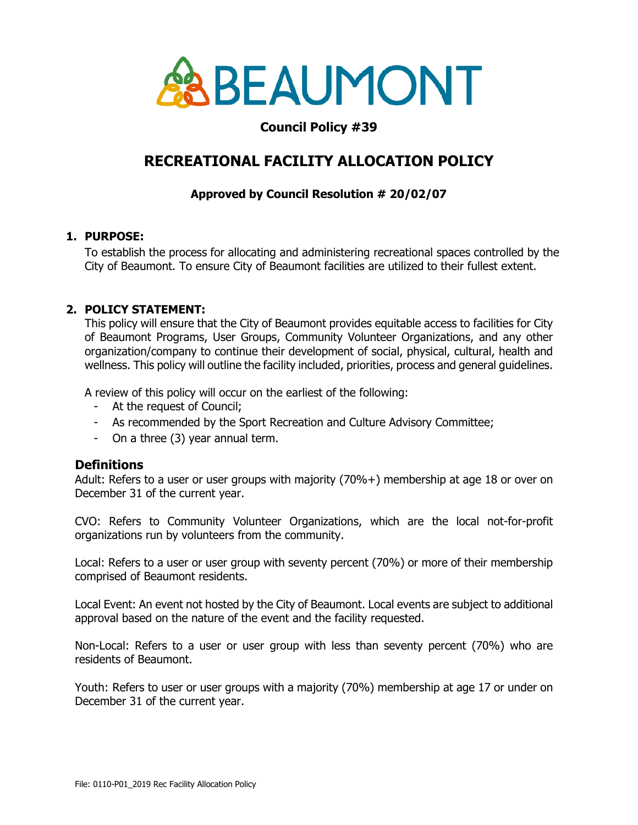

# **Council Policy #39**

# **RECREATIONAL FACILITY ALLOCATION POLICY**

# **Approved by Council Resolution # 20/02/07**

#### **1. PURPOSE:**

To establish the process for allocating and administering recreational spaces controlled by the City of Beaumont. To ensure City of Beaumont facilities are utilized to their fullest extent.

## **2. POLICY STATEMENT:**

This policy will ensure that the City of Beaumont provides equitable access to facilities for City of Beaumont Programs, User Groups, Community Volunteer Organizations, and any other organization/company to continue their development of social, physical, cultural, health and wellness. This policy will outline the facility included, priorities, process and general guidelines.

A review of this policy will occur on the earliest of the following:

- At the request of Council;
- As recommended by the Sport Recreation and Culture Advisory Committee;
- On a three (3) year annual term.

## **Definitions**

Adult: Refers to a user or user groups with majority (70%+) membership at age 18 or over on December 31 of the current year.

CVO: Refers to Community Volunteer Organizations, which are the local not-for-profit organizations run by volunteers from the community.

Local: Refers to a user or user group with seventy percent (70%) or more of their membership comprised of Beaumont residents.

Local Event: An event not hosted by the City of Beaumont. Local events are subject to additional approval based on the nature of the event and the facility requested.

Non-Local: Refers to a user or user group with less than seventy percent (70%) who are residents of Beaumont.

Youth: Refers to user or user groups with a majority (70%) membership at age 17 or under on December 31 of the current year.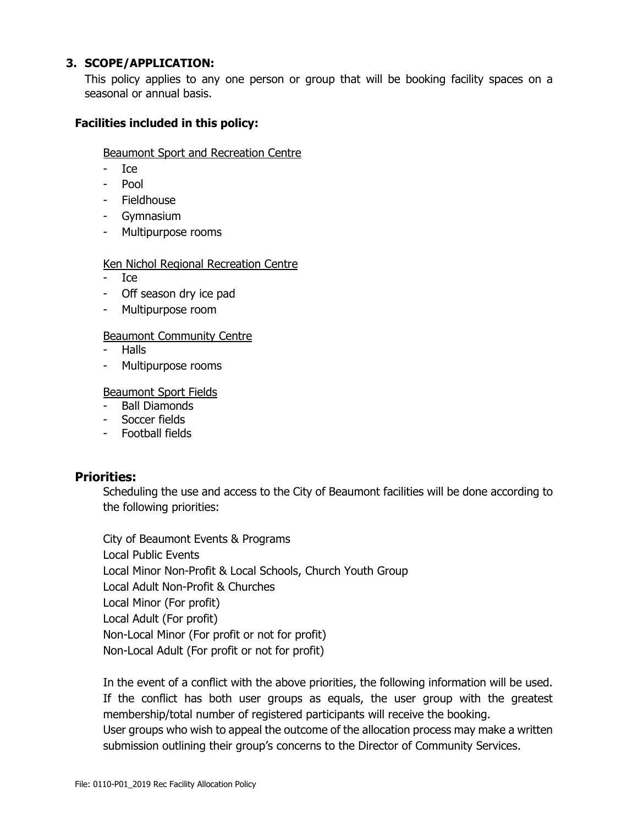#### **3. SCOPE/APPLICATION:**

This policy applies to any one person or group that will be booking facility spaces on a seasonal or annual basis.

### **Facilities included in this policy:**

#### Beaumont Sport and Recreation Centre

- Ice
- Pool
- Fieldhouse
- Gymnasium
- Multipurpose rooms

#### Ken Nichol Regional Recreation Centre

- Ice
- Off season dry ice pad
- Multipurpose room

#### Beaumont Community Centre

- Halls
- Multipurpose rooms

#### Beaumont Sport Fields

- Ball Diamonds
- Soccer fields
- Football fields

## **Priorities:**

Scheduling the use and access to the City of Beaumont facilities will be done according to the following priorities:

City of Beaumont Events & Programs Local Public Events Local Minor Non-Profit & Local Schools, Church Youth Group Local Adult Non-Profit & Churches Local Minor (For profit) Local Adult (For profit) Non-Local Minor (For profit or not for profit) Non-Local Adult (For profit or not for profit)

In the event of a conflict with the above priorities, the following information will be used. If the conflict has both user groups as equals, the user group with the greatest membership/total number of registered participants will receive the booking. User groups who wish to appeal the outcome of the allocation process may make a written submission outlining their group's concerns to the Director of Community Services.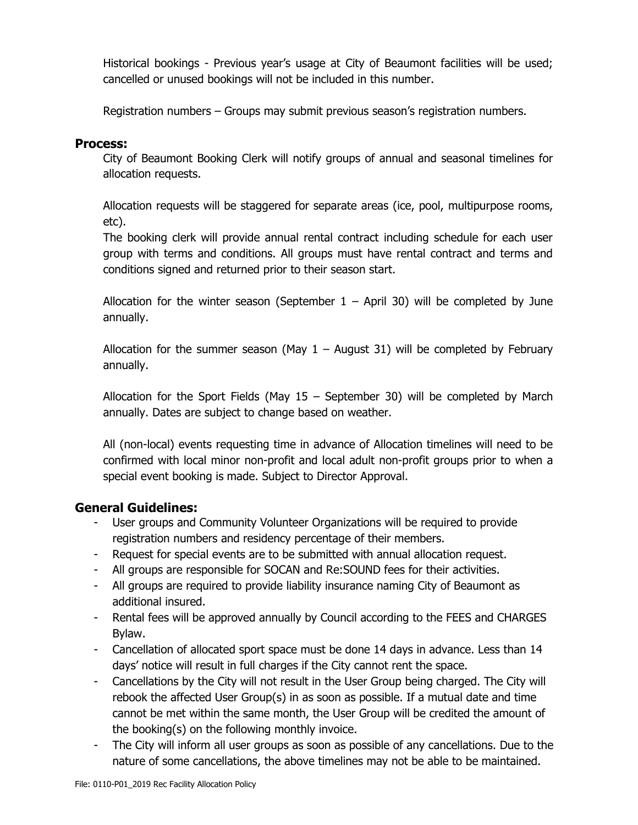Historical bookings - Previous year's usage at City of Beaumont facilities will be used; cancelled or unused bookings will not be included in this number.

Registration numbers – Groups may submit previous season's registration numbers.

## **Process:**

City of Beaumont Booking Clerk will notify groups of annual and seasonal timelines for allocation requests.

Allocation requests will be staggered for separate areas (ice, pool, multipurpose rooms, etc).

The booking clerk will provide annual rental contract including schedule for each user group with terms and conditions. All groups must have rental contract and terms and conditions signed and returned prior to their season start.

Allocation for the winter season (September  $1 -$  April 30) will be completed by June annually.

Allocation for the summer season (May  $1 -$  August 31) will be completed by February annually.

Allocation for the Sport Fields (May 15 – September 30) will be completed by March annually. Dates are subject to change based on weather.

All (non-local) events requesting time in advance of Allocation timelines will need to be confirmed with local minor non-profit and local adult non-profit groups prior to when a special event booking is made. Subject to Director Approval.

# **General Guidelines:**

- User groups and Community Volunteer Organizations will be required to provide registration numbers and residency percentage of their members.
- Request for special events are to be submitted with annual allocation request.
- All groups are responsible for SOCAN and Re:SOUND fees for their activities.
- All groups are required to provide liability insurance naming City of Beaumont as additional insured.
- Rental fees will be approved annually by Council according to the FEES and CHARGES Bylaw.
- Cancellation of allocated sport space must be done 14 days in advance. Less than 14 days' notice will result in full charges if the City cannot rent the space.
- Cancellations by the City will not result in the User Group being charged. The City will rebook the affected User Group(s) in as soon as possible. If a mutual date and time cannot be met within the same month, the User Group will be credited the amount of the booking(s) on the following monthly invoice.
- The City will inform all user groups as soon as possible of any cancellations. Due to the nature of some cancellations, the above timelines may not be able to be maintained.